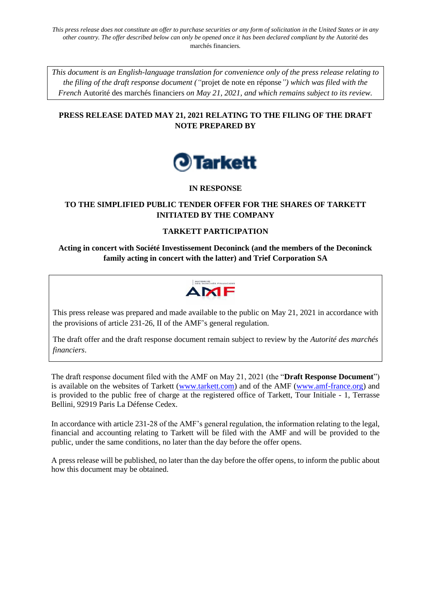*This document is an English-language translation for convenience only of the press release relating to the filing of the draft response document ("*projet de note en réponse*") which was filed with the French* Autorité des marchés financiers *on May 21, 2021, and which remains subject to its review.* 

# **PRESS RELEASE DATED MAY 21, 2021 RELATING TO THE FILING OF THE DRAFT NOTE PREPARED BY**



#### **IN RESPONSE**

# **TO THE SIMPLIFIED PUBLIC TENDER OFFER FOR THE SHARES OF TARKETT INITIATED BY THE COMPANY**

### **TARKETT PARTICIPATION**

# **Acting in concert with Société Investissement Deconinck (and the members of the Deconinck family acting in concert with the latter) and Trief Corporation SA**



This press release was prepared and made available to the public on May 21, 2021 in accordance with the provisions of article 231-26, II of the AMF's general regulation.

The draft offer and the draft response document remain subject to review by the *Autorité des marchés financiers*.

The draft response document filed with the AMF on May 21, 2021 (the "**Draft Response Document**") is available on the websites of Tarkett [\(www.tarkett.com\)](http://www.tarkett.com/) and of the AMF [\(www.amf-france.org\)](http://www.amf-france.org/) and is provided to the public free of charge at the registered office of Tarkett, Tour Initiale - 1, Terrasse Bellini, 92919 Paris La Défense Cedex.

In accordance with article 231-28 of the AMF's general regulation, the information relating to the legal, financial and accounting relating to Tarkett will be filed with the AMF and will be provided to the public, under the same conditions, no later than the day before the offer opens.

A press release will be published, no later than the day before the offer opens, to inform the public about how this document may be obtained.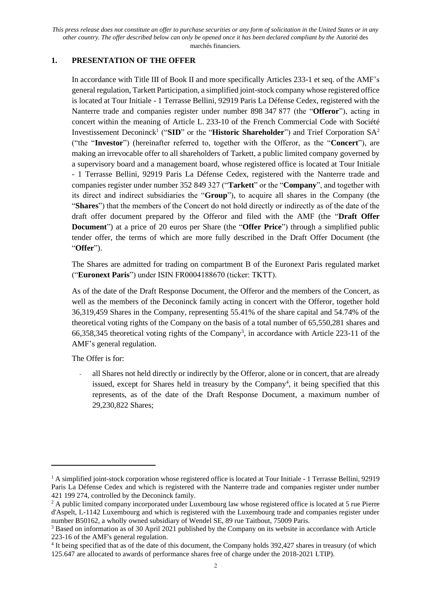#### **1. PRESENTATION OF THE OFFER**

In accordance with Title III of Book II and more specifically Articles 233-1 et seq. of the AMF's general regulation, Tarkett Participation, a simplified joint-stock company whose registered office is located at Tour Initiale - 1 Terrasse Bellini, 92919 Paris La Défense Cedex, registered with the Nanterre trade and companies register under number 898 347 877 (the "**Offeror**"), acting in concert within the meaning of Article L. 233-10 of the French Commercial Code with Société Investissement Deconinck<sup>1</sup> ("SID" or the "Historic Shareholder") and Trief Corporation SA<sup>2</sup> ("the "**Investor**") (hereinafter referred to, together with the Offeror, as the "**Concert**"), are making an irrevocable offer to all shareholders of Tarkett, a public limited company governed by a supervisory board and a management board, whose registered office is located at Tour Initiale - 1 Terrasse Bellini, 92919 Paris La Défense Cedex, registered with the Nanterre trade and companies register under number 352 849 327 ("**Tarkett**" or the "**Company**", and together with its direct and indirect subsidiaries the "**Group**"), to acquire all shares in the Company (the "**Shares**") that the members of the Concert do not hold directly or indirectly as of the date of the draft offer document prepared by the Offeror and filed with the AMF (the "**Draft Offer Document**") at a price of 20 euros per Share (the "**Offer Price**") through a simplified public tender offer, the terms of which are more fully described in the Draft Offer Document (the "**Offer**").

The Shares are admitted for trading on compartment B of the Euronext Paris regulated market ("**Euronext Paris**") under ISIN FR0004188670 (ticker: TKTT).

As of the date of the Draft Response Document, the Offeror and the members of the Concert, as well as the members of the Deconinck family acting in concert with the Offeror, together hold 36,319,459 Shares in the Company, representing 55.41% of the share capital and 54.74% of the theoretical voting rights of the Company on the basis of a total number of 65,550,281 shares and 66,358,345 theoretical voting rights of the Company<sup>3</sup> , in accordance with Article 223-11 of the AMF's general regulation.

The Offer is for:

- all Shares not held directly or indirectly by the Offeror, alone or in concert, that are already issued, except for Shares held in treasury by the Company<sup>4</sup>, it being specified that this represents, as of the date of the Draft Response Document, a maximum number of 29,230,822 Shares;

<sup>&</sup>lt;sup>1</sup> A simplified joint-stock corporation whose registered office is located at Tour Initiale - 1 Terrasse Bellini, 92919 Paris La Défense Cedex and which is registered with the Nanterre trade and companies register under number 421 199 274, controlled by the Deconinck family.

<sup>&</sup>lt;sup>2</sup> A public limited company incorporated under Luxembourg law whose registered office is located at 5 rue Pierre d'Aspelt, L-1142 Luxembourg and which is registered with the Luxembourg trade and companies register under number B50162, a wholly owned subsidiary of Wendel SE, 89 rue Taitbout, 75009 Paris.

<sup>3</sup> Based on information as of 30 April 2021 published by the Company on its website in accordance with Article 223-16 of the AMF's general regulation.

<sup>&</sup>lt;sup>4</sup> It being specified that as of the date of this document, the Company holds 392,427 shares in treasury (of which 125.647 are allocated to awards of performance shares free of charge under the 2018-2021 LTIP).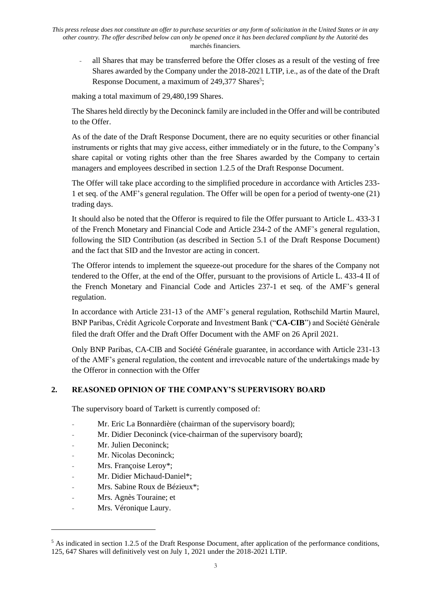- all Shares that may be transferred before the Offer closes as a result of the vesting of free Shares awarded by the Company under the 2018-2021 LTIP, i.e., as of the date of the Draft Response Document, a maximum of 249,377 Shares<sup>5</sup>;

making a total maximum of 29,480,199 Shares.

The Shares held directly by the Deconinck family are included in the Offer and will be contributed to the Offer.

As of the date of the Draft Response Document, there are no equity securities or other financial instruments or rights that may give access, either immediately or in the future, to the Company's share capital or voting rights other than the free Shares awarded by the Company to certain managers and employees described in section 1.2.5 of the Draft Response Document.

The Offer will take place according to the simplified procedure in accordance with Articles 233- 1 et seq. of the AMF's general regulation. The Offer will be open for a period of twenty-one (21) trading days.

It should also be noted that the Offeror is required to file the Offer pursuant to Article L. 433-3 I of the French Monetary and Financial Code and Article 234-2 of the AMF's general regulation, following the SID Contribution (as described in Section 5.1 of the Draft Response Document) and the fact that SID and the Investor are acting in concert.

The Offeror intends to implement the squeeze-out procedure for the shares of the Company not tendered to the Offer, at the end of the Offer, pursuant to the provisions of Article L. 433-4 II of the French Monetary and Financial Code and Articles 237-1 et seq. of the AMF's general regulation.

In accordance with Article 231-13 of the AMF's general regulation, Rothschild Martin Maurel, BNP Paribas, Crédit Agricole Corporate and Investment Bank ("**CA-CIB**") and Société Générale filed the draft Offer and the Draft Offer Document with the AMF on 26 April 2021.

Only BNP Paribas, CA-CIB and Société Générale guarantee, in accordance with Article 231-13 of the AMF's general regulation, the content and irrevocable nature of the undertakings made by the Offeror in connection with the Offer

### **2. REASONED OPINION OF THE COMPANY'S SUPERVISORY BOARD**

The supervisory board of Tarkett is currently composed of:

- Mr. Eric La Bonnardière (chairman of the supervisory board);
- Mr. Didier Deconinck (vice-chairman of the supervisory board);
- Mr. Julien Deconinck:
- Mr. Nicolas Deconinck:
- Mrs. Françoise Leroy\*;
- Mr. Didier Michaud-Daniel\*;
- Mrs. Sabine Roux de Bézieux\*;
- Mrs. Agnès Touraine; et
- Mrs. Véronique Laury.

<sup>&</sup>lt;sup>5</sup> As indicated in section 1.2.5 of the Draft Response Document, after application of the performance conditions, 125, 647 Shares will definitively vest on July 1, 2021 under the 2018-2021 LTIP.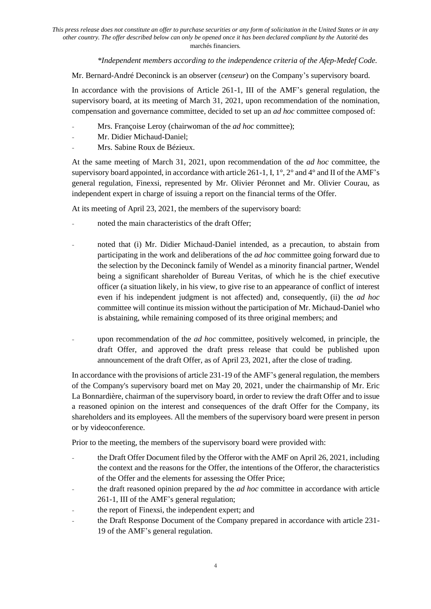### *\*Independent members according to the independence criteria of the Afep-Medef Code.*

Mr. Bernard-André Deconinck is an observer (*censeur*) on the Company's supervisory board.

In accordance with the provisions of Article 261-1, III of the AMF's general regulation, the supervisory board, at its meeting of March 31, 2021, upon recommendation of the nomination, compensation and governance committee, decided to set up an *ad hoc* committee composed of:

- Mrs. Françoise Leroy (chairwoman of the *ad hoc* committee);
- Mr. Didier Michaud-Daniel;
- Mrs. Sabine Roux de Bézieux.

At the same meeting of March 31, 2021, upon recommendation of the *ad hoc* committee, the supervisory board appointed, in accordance with article 261-1, I,  $1^\circ$ ,  $2^\circ$  and  $4^\circ$  and II of the AMF's general regulation, Finexsi, represented by Mr. Olivier Péronnet and Mr. Olivier Courau, as independent expert in charge of issuing a report on the financial terms of the Offer.

At its meeting of April 23, 2021, the members of the supervisory board:

- noted the main characteristics of the draft Offer;
- noted that (i) Mr. Didier Michaud-Daniel intended, as a precaution, to abstain from participating in the work and deliberations of the *ad hoc* committee going forward due to the selection by the Deconinck family of Wendel as a minority financial partner, Wendel being a significant shareholder of Bureau Veritas, of which he is the chief executive officer (a situation likely, in his view, to give rise to an appearance of conflict of interest even if his independent judgment is not affected) and, consequently, (ii) the *ad hoc* committee will continue its mission without the participation of Mr. Michaud-Daniel who is abstaining, while remaining composed of its three original members; and
- upon recommendation of the *ad hoc* committee, positively welcomed, in principle, the draft Offer, and approved the draft press release that could be published upon announcement of the draft Offer, as of April 23, 2021, after the close of trading.

In accordance with the provisions of article 231-19 of the AMF's general regulation, the members of the Company's supervisory board met on May 20, 2021, under the chairmanship of Mr. Eric La Bonnardière, chairman of the supervisory board, in order to review the draft Offer and to issue a reasoned opinion on the interest and consequences of the draft Offer for the Company, its shareholders and its employees. All the members of the supervisory board were present in person or by videoconference.

Prior to the meeting, the members of the supervisory board were provided with:

- the Draft Offer Document filed by the Offeror with the AMF on April 26, 2021, including the context and the reasons for the Offer, the intentions of the Offeror, the characteristics of the Offer and the elements for assessing the Offer Price;
- the draft reasoned opinion prepared by the *ad hoc* committee in accordance with article 261-1, III of the AMF's general regulation;
- the report of Finexsi, the independent expert; and
- the Draft Response Document of the Company prepared in accordance with article 231-19 of the AMF's general regulation.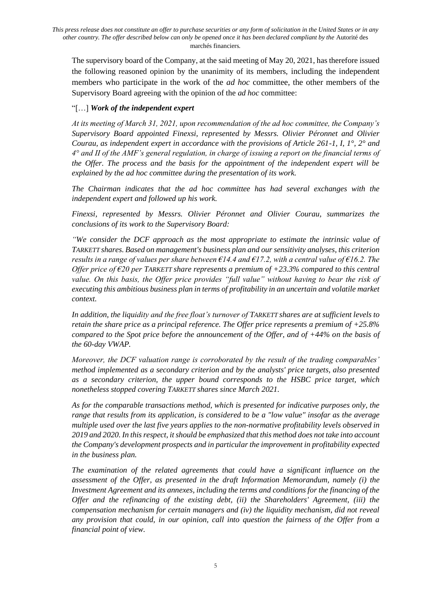The supervisory board of the Company, at the said meeting of May 20, 2021, has therefore issued the following reasoned opinion by the unanimity of its members, including the independent members who participate in the work of the *ad hoc* committee, the other members of the Supervisory Board agreeing with the opinion of the *ad hoc* committee:

### "[…] *Work of the independent expert*

*At its meeting of March 31, 2021, upon recommendation of the ad hoc committee, the Company's Supervisory Board appointed Finexsi, represented by Messrs. Olivier Péronnet and Olivier Courau, as independent expert in accordance with the provisions of Article 261-1, I, 1°, 2° and 4° and II of the AMF's general regulation, in charge of issuing a report on the financial terms of the Offer. The process and the basis for the appointment of the independent expert will be explained by the ad hoc committee during the presentation of its work.*

*The Chairman indicates that the ad hoc committee has had several exchanges with the independent expert and followed up his work.*

*Finexsi, represented by Messrs. Olivier Péronnet and Olivier Courau, summarizes the conclusions of its work to the Supervisory Board:*

*"We consider the DCF approach as the most appropriate to estimate the intrinsic value of TARKETT shares. Based on management's business plan and our sensitivity analyses, this criterion results in a range of values per share between €14.4 and €17.2, with a central value of €16.2. The Offer price of*  $\epsilon$ *20 per TARKETT share represents a premium of +23.3% compared to this central value. On this basis, the Offer price provides "full value" without having to bear the risk of executing this ambitious business plan in terms of profitability in an uncertain and volatile market context.*

*In addition, the liquidity and the free float's turnover of TARKETT shares are at sufficient levels to retain the share price as a principal reference. The Offer price represents a premium of +25.8% compared to the Spot price before the announcement of the Offer, and of +44% on the basis of the 60-day VWAP.* 

*Moreover, the DCF valuation range is corroborated by the result of the trading comparables' method implemented as a secondary criterion and by the analysts' price targets, also presented as a secondary criterion, the upper bound corresponds to the HSBC price target, which nonetheless stopped covering TARKETT shares since March 2021.*

*As for the comparable transactions method, which is presented for indicative purposes only, the range that results from its application, is considered to be a "low value" insofar as the average multiple used over the last five years applies to the non-normative profitability levels observed in 2019 and 2020. In this respect, it should be emphasized that this method does not take into account the Company's development prospects and in particular the improvement in profitability expected in the business plan.*

*The examination of the related agreements that could have a significant influence on the assessment of the Offer, as presented in the draft Information Memorandum, namely (i) the Investment Agreement and its annexes, including the terms and conditions for the financing of the Offer and the refinancing of the existing debt, (ii) the Shareholders' Agreement, (iii) the compensation mechanism for certain managers and (iv) the liquidity mechanism, did not reveal any provision that could, in our opinion, call into question the fairness of the Offer from a financial point of view.*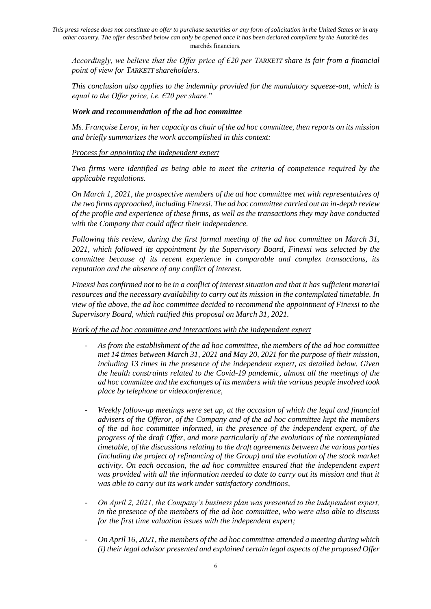*Accordingly, we believe that the Offer price of €20 per TARKETT share is fair from a financial point of view for TARKETT shareholders.*

*This conclusion also applies to the indemnity provided for the mandatory squeeze-out, which is equal to the Offer price, i.e. €20 per share.*"

#### *Work and recommendation of the ad hoc committee*

*Ms. Françoise Leroy, in her capacity as chair of the ad hoc committee, then reports on its mission and briefly summarizes the work accomplished in this context:*

#### *Process for appointing the independent expert*

*Two firms were identified as being able to meet the criteria of competence required by the applicable regulations.* 

*On March 1, 2021, the prospective members of the ad hoc committee met with representatives of the two firms approached, including Finexsi. The ad hoc committee carried out an in-depth review of the profile and experience of these firms, as well as the transactions they may have conducted with the Company that could affect their independence.*

*Following this review, during the first formal meeting of the ad hoc committee on March 31, 2021, which followed its appointment by the Supervisory Board, Finexsi was selected by the committee because of its recent experience in comparable and complex transactions, its reputation and the absence of any conflict of interest.*

*Finexsi has confirmed not to be in a conflict of interest situation and that it has sufficient material resources and the necessary availability to carry out its mission in the contemplated timetable. In view of the above, the ad hoc committee decided to recommend the appointment of Finexsi to the Supervisory Board, which ratified this proposal on March 31, 2021.*

*Work of the ad hoc committee and interactions with the independent expert*

- *As from the establishment of the ad hoc committee, the members of the ad hoc committee met 14 times between March 31, 2021 and May 20, 2021 for the purpose of their mission, including 13 times in the presence of the independent expert, as detailed below. Given the health constraints related to the Covid-19 pandemic, almost all the meetings of the ad hoc committee and the exchanges of its members with the various people involved took place by telephone or videoconference,*
- *Weekly follow-up meetings were set up, at the occasion of which the legal and financial advisers of the Offeror, of the Company and of the ad hoc committee kept the members of the ad hoc committee informed, in the presence of the independent expert, of the progress of the draft Offer, and more particularly of the evolutions of the contemplated timetable, of the discussions relating to the draft agreements between the various parties (including the project of refinancing of the Group) and the evolution of the stock market activity. On each occasion, the ad hoc committee ensured that the independent expert* was provided with all the information needed to date to carry out its mission and that it *was able to carry out its work under satisfactory conditions,*
- *On April 2, 2021, the Company's business plan was presented to the independent expert, in the presence of the members of the ad hoc committee, who were also able to discuss for the first time valuation issues with the independent expert;*
- *On April 16, 2021, the members of the ad hoc committee attended a meeting during which (i) their legal advisor presented and explained certain legal aspects of the proposed Offer*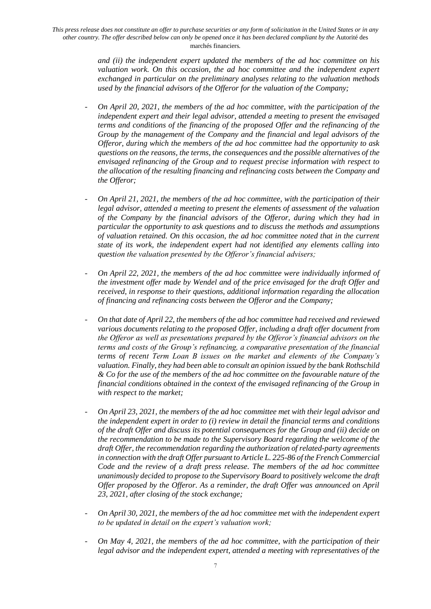> *and (ii) the independent expert updated the members of the ad hoc committee on his valuation work. On this occasion, the ad hoc committee and the independent expert exchanged in particular on the preliminary analyses relating to the valuation methods used by the financial advisors of the Offeror for the valuation of the Company;*

- *On April 20, 2021, the members of the ad hoc committee, with the participation of the independent expert and their legal advisor, attended a meeting to present the envisaged terms and conditions of the financing of the proposed Offer and the refinancing of the Group by the management of the Company and the financial and legal advisors of the Offeror, during which the members of the ad hoc committee had the opportunity to ask questions on the reasons, the terms, the consequences and the possible alternatives of the envisaged refinancing of the Group and to request precise information with respect to the allocation of the resulting financing and refinancing costs between the Company and the Offeror;*
- *On April 21, 2021, the members of the ad hoc committee, with the participation of their legal advisor, attended a meeting to present the elements of assessment of the valuation of the Company by the financial advisors of the Offeror, during which they had in particular the opportunity to ask questions and to discuss the methods and assumptions of valuation retained. On this occasion, the ad hoc committee noted that in the current state of its work, the independent expert had not identified any elements calling into question the valuation presented by the Offeror's financial advisers;*
- *On April 22, 2021, the members of the ad hoc committee were individually informed of the investment offer made by Wendel and of the price envisaged for the draft Offer and received, in response to their questions, additional information regarding the allocation of financing and refinancing costs between the Offeror and the Company;*
- *On that date of April 22, the members of the ad hoc committee had received and reviewed various documents relating to the proposed Offer, including a draft offer document from the Offeror as well as presentations prepared by the Offeror's financial advisors on the terms and costs of the Group's refinancing, a comparative presentation of the financial terms of recent Term Loan B issues on the market and elements of the Company's valuation. Finally, they had been able to consult an opinion issued by the bank Rothschild & Co for the use of the members of the ad hoc committee on the favourable nature of the financial conditions obtained in the context of the envisaged refinancing of the Group in with respect to the market;*
- *On April 23, 2021, the members of the ad hoc committee met with their legal advisor and the independent expert in order to (i) review in detail the financial terms and conditions of the draft Offer and discuss its potential consequences for the Group and (ii) decide on the recommendation to be made to the Supervisory Board regarding the welcome of the draft Offer, the recommendation regarding the authorization of related-party agreements in connection with the draft Offer pursuant to Article L. 225-86 of the French Commercial Code and the review of a draft press release. The members of the ad hoc committee unanimously decided to propose to the Supervisory Board to positively welcome the draft Offer proposed by the Offeror. As a reminder, the draft Offer was announced on April 23, 2021, after closing of the stock exchange;*
- *On April 30, 2021, the members of the ad hoc committee met with the independent expert to be updated in detail on the expert's valuation work;*
- *On May 4, 2021, the members of the ad hoc committee, with the participation of their legal advisor and the independent expert, attended a meeting with representatives of the*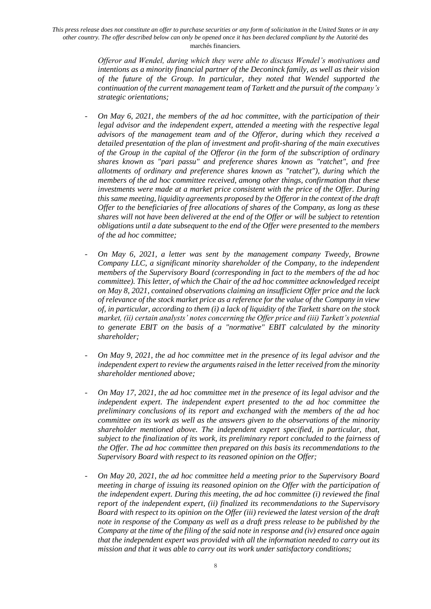> *Offeror and Wendel, during which they were able to discuss Wendel's motivations and intentions as a minority financial partner of the Deconinck family, as well as their vision of the future of the Group. In particular, they noted that Wendel supported the continuation of the current management team of Tarkett and the pursuit of the company's strategic orientations;*

- *On May 6, 2021, the members of the ad hoc committee, with the participation of their legal advisor and the independent expert, attended a meeting with the respective legal advisors of the management team and of the Offeror, during which they received a detailed presentation of the plan of investment and profit-sharing of the main executives of the Group in the capital of the Offeror (in the form of the subscription of ordinary shares known as "pari passu" and preference shares known as "ratchet", and free allotments of ordinary and preference shares known as "ratchet"), during which the members of the ad hoc committee received, among other things, confirmation that these investments were made at a market price consistent with the price of the Offer. During this same meeting, liquidity agreements proposed by the Offeror in the context of the draft Offer to the beneficiaries of free allocations of shares of the Company, as long as these shares will not have been delivered at the end of the Offer or will be subject to retention obligations until a date subsequent to the end of the Offer were presented to the members of the ad hoc committee;*
- *On May 6, 2021, a letter was sent by the management company Tweedy, Browne Company LLC, a significant minority shareholder of the Company, to the independent members of the Supervisory Board (corresponding in fact to the members of the ad hoc committee). This letter, of which the Chair of the ad hoc committee acknowledged receipt on May 8, 2021, contained observations claiming an insufficient Offer price and the lack of relevance of the stock market price as a reference for the value of the Company in view of, in particular, according to them (i) a lack of liquidity of the Tarkett share on the stock market, (ii) certain analysts' notes concerning the Offer price and (iii) Tarkett's potential to generate EBIT on the basis of a "normative" EBIT calculated by the minority shareholder;*
- *On May 9, 2021, the ad hoc committee met in the presence of its legal advisor and the independent expert to review the arguments raised in the letter received from the minority shareholder mentioned above;*
- *On May 17, 2021, the ad hoc committee met in the presence of its legal advisor and the independent expert. The independent expert presented to the ad hoc committee the preliminary conclusions of its report and exchanged with the members of the ad hoc committee on its work as well as the answers given to the observations of the minority shareholder mentioned above. The independent expert specified, in particular, that, subject to the finalization of its work, its preliminary report concluded to the fairness of the Offer. The ad hoc committee then prepared on this basis its recommendations to the Supervisory Board with respect to its reasoned opinion on the Offer;*
- *On May 20, 2021, the ad hoc committee held a meeting prior to the Supervisory Board meeting in charge of issuing its reasoned opinion on the Offer with the participation of the independent expert. During this meeting, the ad hoc committee (i) reviewed the final report of the independent expert, (ii) finalized its recommendations to the Supervisory Board with respect to its opinion on the Offer (iii) reviewed the latest version of the draft note in response of the Company as well as a draft press release to be published by the Company at the time of the filing of the said note in response and (iv) ensured once again that the independent expert was provided with all the information needed to carry out its mission and that it was able to carry out its work under satisfactory conditions;*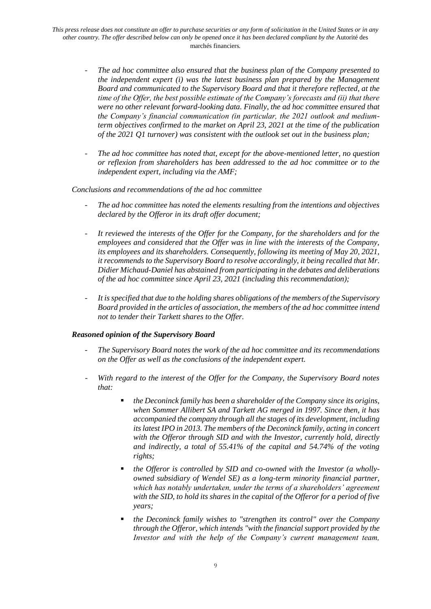- *The ad hoc committee also ensured that the business plan of the Company presented to the independent expert (i) was the latest business plan prepared by the Management Board and communicated to the Supervisory Board and that it therefore reflected, at the time of the Offer, the best possible estimate of the Company's forecasts and (ii) that there were no other relevant forward-looking data. Finally, the ad hoc committee ensured that the Company's financial communication (in particular, the 2021 outlook and mediumterm objectives confirmed to the market on April 23, 2021 at the time of the publication of the 2021 Q1 turnover) was consistent with the outlook set out in the business plan;*
- The ad hoc committee has noted that, except for the above-mentioned letter, no question *or reflexion from shareholders has been addressed to the ad hoc committee or to the independent expert, including via the AMF;*

*Conclusions and recommendations of the ad hoc committee*

- *The ad hoc committee has noted the elements resulting from the intentions and objectives declared by the Offeror in its draft offer document;*
- *It reviewed the interests of the Offer for the Company, for the shareholders and for the employees and considered that the Offer was in line with the interests of the Company, its employees and its shareholders. Consequently, following its meeting of May 20, 2021, it recommends to the Supervisory Board to resolve accordingly, it being recalled that Mr. Didier Michaud-Daniel has abstained from participating in the debates and deliberations of the ad hoc committee since April 23, 2021 (including this recommendation);*
- *It is specified that due to the holding shares obligations of the members of the Supervisory Board provided in the articles of association, the members of the ad hoc committee intend not to tender their Tarkett shares to the Offer.*

#### *Reasoned opinion of the Supervisory Board*

- *The Supervisory Board notes the work of the ad hoc committee and its recommendations on the Offer as well as the conclusions of the independent expert.*
- With regard to the interest of the Offer for the Company, the Supervisory Board notes *that:*
	- *the Deconinck family has been a shareholder of the Company since its origins, when Sommer Allibert SA and Tarkett AG merged in 1997. Since then, it has accompanied the company through all the stages of its development, including its latest IPO in 2013. The members of the Deconinck family, acting in concert*  with the Offeror through SID and with the Investor, currently hold, directly *and indirectly, a total of 55.41% of the capital and 54.74% of the voting rights;*
	- the Offeror is controlled by SID and co-owned with the Investor (a wholly*owned subsidiary of Wendel SE) as a long-term minority financial partner, which has notably undertaken, under the terms of a shareholders' agreement with the SID, to hold its shares in the capital of the Offeror for a period of five years;*
	- the Deconinck family wishes to "strengthen its control" over the Company *through the Offeror, which intends "with the financial support provided by the Investor and with the help of the Company's current management team,*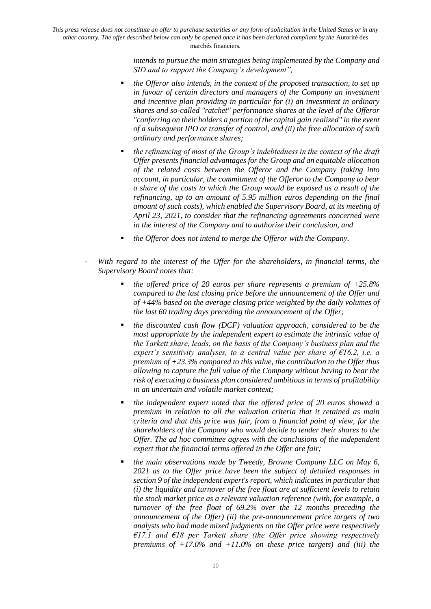> *intends to pursue the main strategies being implemented by the Company and SID and to support the Company's development",*

- the Offeror also intends, in the context of the proposed transaction, to set up *in favour of certain directors and managers of the Company an investment and incentive plan providing in particular for (i) an investment in ordinary shares and so-called "ratchet" performance shares at the level of the Offeror "conferring on their holders a portion of the capital gain realized" in the event of a subsequent IPO or transfer of control, and (ii) the free allocation of such ordinary and performance shares;*
- the refinancing of most of the Group's indebtedness in the context of the draft *Offer presents financial advantages for the Group and an equitable allocation of the related costs between the Offeror and the Company (taking into account, in particular, the commitment of the Offeror to the Company to bear a share of the costs to which the Group would be exposed as a result of the refinancing, up to an amount of 5.95 million euros depending on the final amount of such costs), which enabled the Supervisory Board, at its meeting of April 23, 2021, to consider that the refinancing agreements concerned were in the interest of the Company and to authorize their conclusion, and*
- *the Offeror does not intend to merge the Offeror with the Company.*
- *With regard to the interest of the Offer for the shareholders, in financial terms, the Supervisory Board notes that:*
	- the offered price of 20 euros per share represents a premium of  $+25.8\%$ *compared to the last closing price before the announcement of the Offer and of +44% based on the average closing price weighted by the daily volumes of the last 60 trading days preceding the announcement of the Offer;*
	- the discounted cash flow (DCF) valuation approach, considered to be the *most appropriate by the independent expert to estimate the intrinsic value of the Tarkett share, leads, on the basis of the Company's business plan and the expert's sensitivity analyses, to a central value per share of €16.2, i.e. a premium of +23.3% compared to this value, the contribution to the Offer thus allowing to capture the full value of the Company without having to bear the risk of executing a business plan considered ambitious in terms of profitability in an uncertain and volatile market context;*
	- the independent expert noted that the offered price of 20 euros showed a *premium in relation to all the valuation criteria that it retained as main criteria and that this price was fair, from a financial point of view, for the shareholders of the Company who would decide to tender their shares to the Offer. The ad hoc committee agrees with the conclusions of the independent expert that the financial terms offered in the Offer are fair;*
	- the main observations made by Tweedy, Browne Company LLC on May 6, *2021 as to the Offer price have been the subject of detailed responses in section 9 of the independent expert's report, which indicates in particular that (i) the liquidity and turnover of the free float are at sufficient levels to retain the stock market price as a relevant valuation reference (with, for example, a turnover of the free float of 69.2% over the 12 months preceding the announcement of the Offer) (ii) the pre-announcement price targets of two analysts who had made mixed judgments on the Offer price were respectively €17.1 and €18 per Tarkett share (the Offer price showing respectively premiums of +17.0% and +11.0% on these price targets) and (iii) the*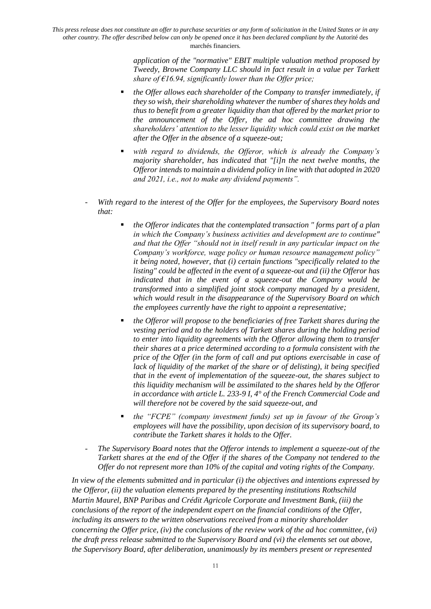> *application of the "normative" EBIT multiple valuation method proposed by Tweedy, Browne Company LLC should in fact result in a value per Tarkett share of €16.94, significantly lower than the Offer price;*

- *the Offer allows each shareholder of the Company to transfer immediately, if they so wish, their shareholding whatever the number of shares they holds and thus to benefit from a greater liquidity than that offered by the market prior to the announcement of the Offer, the ad hoc committee drawing the shareholders' attention to the lesser liquidity which could exist on the market after the Offer in the absence of a squeeze-out;*
- with regard to dividends, the Offeror, which is already the Company's *majority shareholder, has indicated that "[i]n the next twelve months, the Offeror intends to maintain a dividend policy in line with that adopted in 2020 and 2021, i.e., not to make any dividend payments".*
- *With regard to the interest of the Offer for the employees, the Supervisory Board notes that:*
	- the Offeror indicates that the contemplated transaction " forms part of a plan *in which the Company's business activities and development are to continue" and that the Offer "should not in itself result in any particular impact on the Company's workforce, wage policy or human resource management policy" it being noted, however, that (i) certain functions "specifically related to the listing" could be affected in the event of a squeeze-out and (ii) the Offeror has indicated that in the event of a squeeze-out the Company would be transformed into a simplified joint stock company managed by a president, which would result in the disappearance of the Supervisory Board on which the employees currently have the right to appoint a representative;*
	- the Offeror will propose to the beneficiaries of free Tarkett shares during the *vesting period and to the holders of Tarkett shares during the holding period to enter into liquidity agreements with the Offeror allowing them to transfer their shares at a price determined according to a formula consistent with the price of the Offer (in the form of call and put options exercisable in case of lack of liquidity of the market of the share or of delisting), it being specified that in the event of implementation of the squeeze-out, the shares subject to this liquidity mechanism will be assimilated to the shares held by the Offeror in accordance with article L. 233-9 I, 4° of the French Commercial Code and will therefore not be covered by the said squeeze-out, and*
	- the "FCPE" (company investment funds) set up in favour of the Group's *employees will have the possibility, upon decision of its supervisory board, to contribute the Tarkett shares it holds to the Offer.*
- *The Supervisory Board notes that the Offeror intends to implement a squeeze-out of the Tarkett shares at the end of the Offer if the shares of the Company not tendered to the Offer do not represent more than 10% of the capital and voting rights of the Company.*

*In view of the elements submitted and in particular (i) the objectives and intentions expressed by the Offeror, (ii) the valuation elements prepared by the presenting institutions Rothschild Martin Maurel, BNP Paribas and Crédit Agricole Corporate and Investment Bank, (iii) the conclusions of the report of the independent expert on the financial conditions of the Offer, including its answers to the written observations received from a minority shareholder concerning the Offer price, (iv) the conclusions of the review work of the ad hoc committee, (vi) the draft press release submitted to the Supervisory Board and (vi) the elements set out above, the Supervisory Board, after deliberation, unanimously by its members present or represented*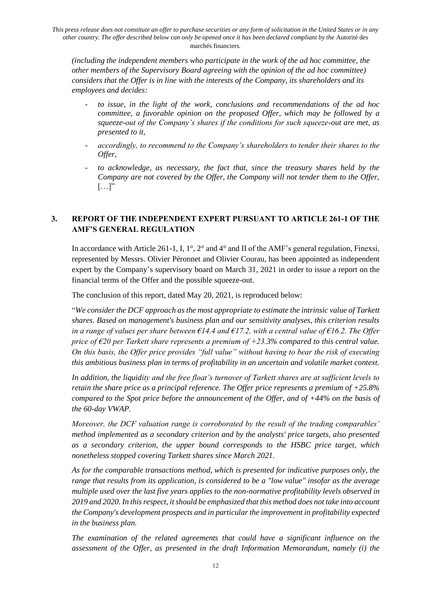*(including the independent members who participate in the work of the ad hoc committee, the other members of the Supervisory Board agreeing with the opinion of the ad hoc committee) considers that the Offer is in line with the interests of the Company, its shareholders and its employees and decides:*

- *to issue, in the light of the work, conclusions and recommendations of the ad hoc committee, a favorable opinion on the proposed Offer, which may be followed by a squeeze-out of the Company's shares if the conditions for such squeeze-out are met, as presented to it,*
- *accordingly, to recommend to the Company's shareholders to tender their shares to the Offer,*
- *to acknowledge, as necessary, the fact that, since the treasury shares held by the Company are not covered by the Offer, the Company will not tender them to the Offer,*  $\left[\ldots\right]$ "

# **3. REPORT OF THE INDEPENDENT EXPERT PURSUANT TO ARTICLE 261-1 OF THE AMF'S GENERAL REGULATION**

In accordance with Article 261-1, I, 1°, 2° and 4° and II of the AMF's general regulation, Finexsi, represented by Messrs. Olivier Péronnet and Olivier Courau, has been appointed as independent expert by the Company's supervisory board on March 31, 2021 in order to issue a report on the financial terms of the Offer and the possible squeeze-out.

The conclusion of this report, dated May 20, 2021, is reproduced below:

"*We consider the DCF approach as the most appropriate to estimate the intrinsic value of Tarkett shares. Based on management's business plan and our sensitivity analyses, this criterion results in a range of values per share between €14.4 and €17.2, with a central value of €16.2. The Offer price of €20 per Tarkett share represents a premium of +23.3% compared to this central value. On this basis, the Offer price provides "full value" without having to bear the risk of executing this ambitious business plan in terms of profitability in an uncertain and volatile market context.*

*In addition, the liquidity and the free float's turnover of Tarkett shares are at sufficient levels to retain the share price as a principal reference. The Offer price represents a premium of +25.8% compared to the Spot price before the announcement of the Offer, and of +44% on the basis of the 60-day VWAP.* 

*Moreover, the DCF valuation range is corroborated by the result of the trading comparables' method implemented as a secondary criterion and by the analysts' price targets, also presented as a secondary criterion, the upper bound corresponds to the HSBC price target, which nonetheless stopped covering Tarkett shares since March 2021.*

*As for the comparable transactions method, which is presented for indicative purposes only, the range that results from its application, is considered to be a "low value" insofar as the average multiple used over the last five years applies to the non-normative profitability levels observed in 2019 and 2020. In this respect, it should be emphasized that this method does not take into account the Company's development prospects and in particular the improvement in profitability expected in the business plan.*

*The examination of the related agreements that could have a significant influence on the assessment of the Offer, as presented in the draft Information Memorandum, namely (i) the*